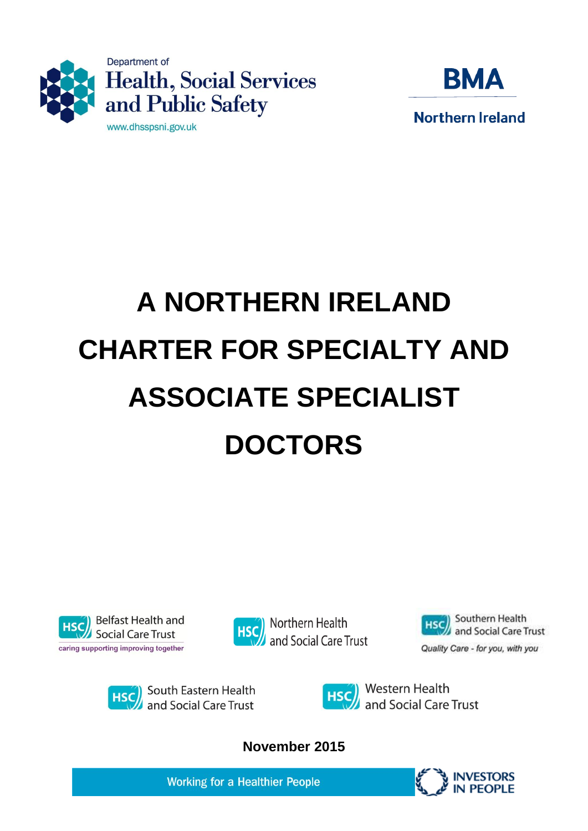



# **A NORTHERN IRELAND CHARTER FOR SPECIALTY AND ASSOCIATE SPECIALIST DOCTORS**











**November 2015**

**Working for a Healthier People** 

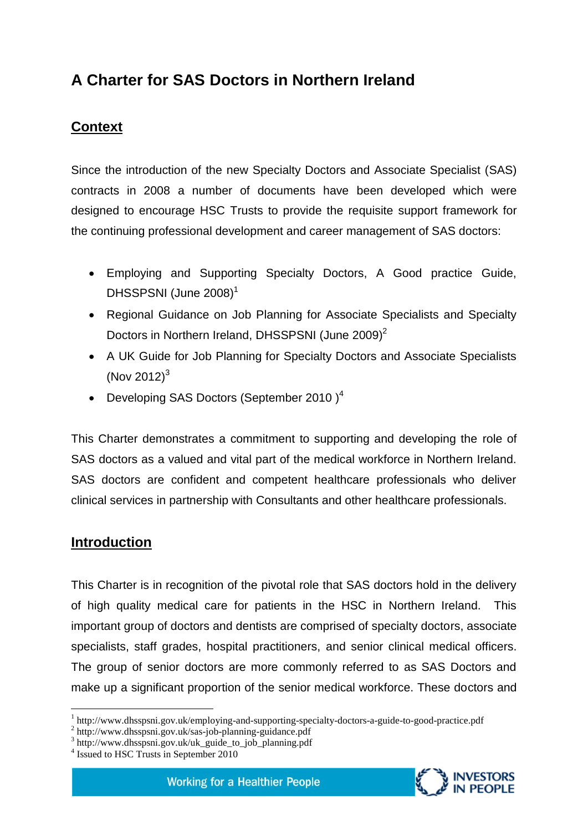# **A Charter for SAS Doctors in Northern Ireland**

## **Context**

Since the introduction of the new Specialty Doctors and Associate Specialist (SAS) contracts in 2008 a number of documents have been developed which were designed to encourage HSC Trusts to provide the requisite support framework for the continuing professional development and career management of SAS doctors:

- Employing and Supporting Specialty Doctors, A Good practice Guide, DHSSPSNI (June 2008)<sup>1</sup>
- Regional Guidance on Job Planning for Associate Specialists and Specialty Doctors in Northern Ireland, DHSSPSNI (June 2009)<sup>2</sup>
- A UK Guide for Job Planning for Specialty Doctors and Associate Specialists (Nov 2012) $3$
- Developing SAS Doctors (September 2010) $<sup>4</sup>$ </sup>

This Charter demonstrates a commitment to supporting and developing the role of SAS doctors as a valued and vital part of the medical workforce in Northern Ireland. SAS doctors are confident and competent healthcare professionals who deliver clinical services in partnership with Consultants and other healthcare professionals.

#### **Introduction**

1

This Charter is in recognition of the pivotal role that SAS doctors hold in the delivery of high quality medical care for patients in the HSC in Northern Ireland. This important group of doctors and dentists are comprised of specialty doctors, associate specialists, staff grades, hospital practitioners, and senior clinical medical officers. The group of senior doctors are more commonly referred to as SAS Doctors and make up a significant proportion of the senior medical workforce. These doctors and



<sup>&</sup>lt;sup>1</sup> http://www.dhsspsni.gov.uk/employing-and-supporting-specialty-doctors-a-guide-to-good-practice.pdf

<sup>2</sup> http://www.dhsspsni.gov.uk/sas-job-planning-guidance.pdf

<sup>3</sup> http://www.dhsspsni.gov.uk/uk\_guide\_to\_job\_planning.pdf

<sup>4</sup> Issued to HSC Trusts in September 2010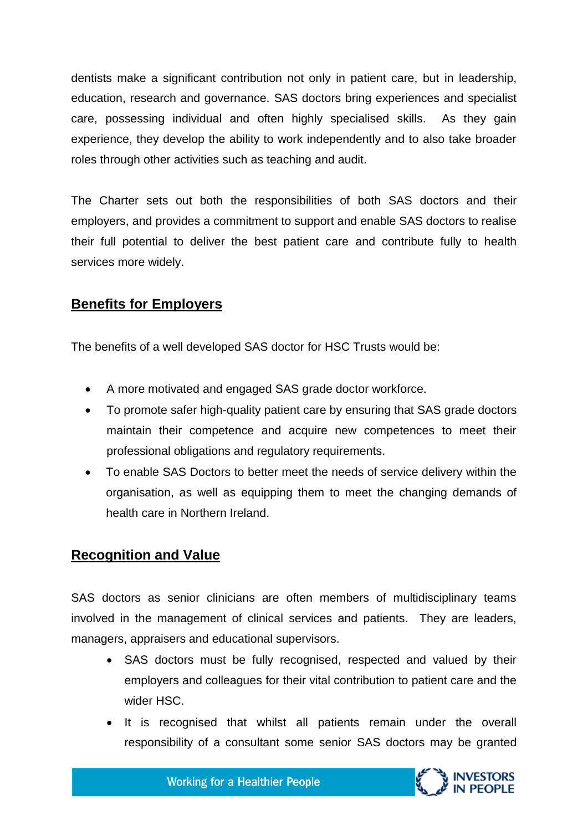dentists make a significant contribution not only in patient care, but in leadership, education, research and governance. SAS doctors bring experiences and specialist care, possessing individual and often highly specialised skills. As they gain experience, they develop the ability to work independently and to also take broader roles through other activities such as teaching and audit.

The Charter sets out both the responsibilities of both SAS doctors and their employers, and provides a commitment to support and enable SAS doctors to realise their full potential to deliver the best patient care and contribute fully to health services more widely.

#### **Benefits for Employers**

The benefits of a well developed SAS doctor for HSC Trusts would be:

- A more motivated and engaged SAS grade doctor workforce.
- To promote safer high-quality patient care by ensuring that SAS grade doctors maintain their competence and acquire new competences to meet their professional obligations and regulatory requirements.
- To enable SAS Doctors to better meet the needs of service delivery within the organisation, as well as equipping them to meet the changing demands of health care in Northern Ireland.

#### **Recognition and Value**

SAS doctors as senior clinicians are often members of multidisciplinary teams involved in the management of clinical services and patients. They are leaders, managers, appraisers and educational supervisors.

- SAS doctors must be fully recognised, respected and valued by their employers and colleagues for their vital contribution to patient care and the wider HSC.
- It is recognised that whilst all patients remain under the overall responsibility of a consultant some senior SAS doctors may be granted

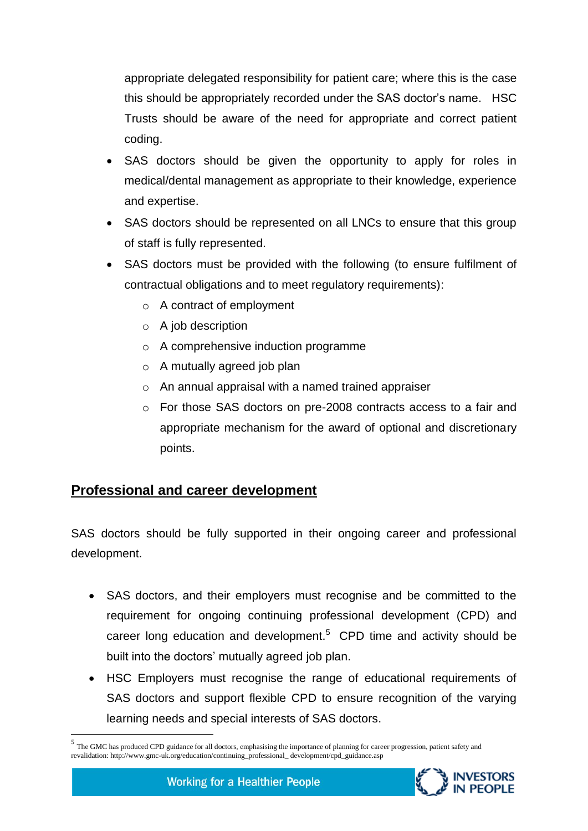appropriate delegated responsibility for patient care; where this is the case this should be appropriately recorded under the SAS doctor's name. HSC Trusts should be aware of the need for appropriate and correct patient coding.

- SAS doctors should be given the opportunity to apply for roles in medical/dental management as appropriate to their knowledge, experience and expertise.
- SAS doctors should be represented on all LNCs to ensure that this group of staff is fully represented.
- SAS doctors must be provided with the following (to ensure fulfilment of contractual obligations and to meet regulatory requirements):
	- o A contract of employment
	- $\circ$  A job description
	- o A comprehensive induction programme
	- $\circ$  A mutually agreed job plan
	- o An annual appraisal with a named trained appraiser
	- o For those SAS doctors on pre-2008 contracts access to a fair and appropriate mechanism for the award of optional and discretionary points.

### **Professional and career development**

1

SAS doctors should be fully supported in their ongoing career and professional development.

- SAS doctors, and their employers must recognise and be committed to the requirement for ongoing continuing professional development (CPD) and career long education and development.<sup>5</sup> CPD time and activity should be built into the doctors' mutually agreed job plan.
- HSC Employers must recognise the range of educational requirements of SAS doctors and support flexible CPD to ensure recognition of the varying learning needs and special interests of SAS doctors.

<sup>&</sup>lt;sup>5</sup> The GMC has produced CPD guidance for all doctors, emphasising the importance of planning for career progression, patient safety and revalidation: http://www.gmc-uk.org/education/continuing\_professional\_ development/cpd\_guidance.asp